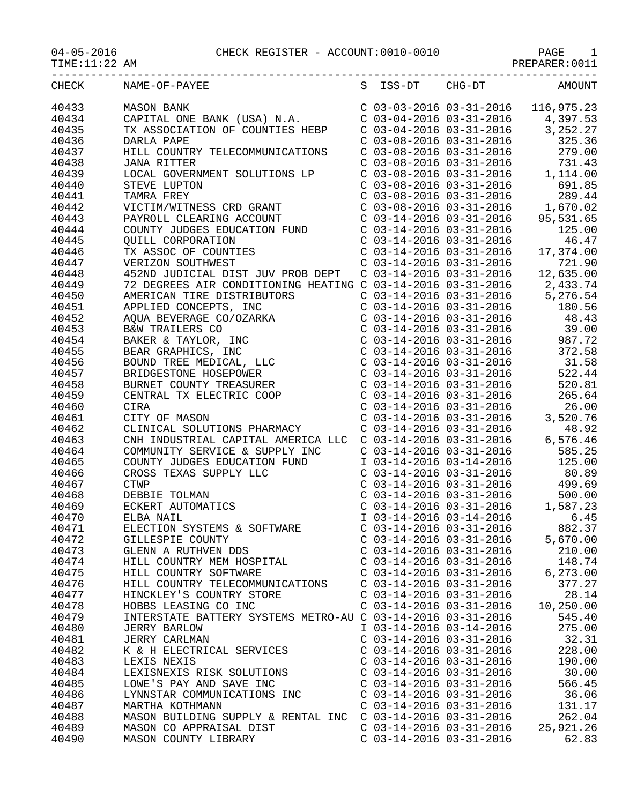TIME:11:22 AM PREPARER:0011

| CHECK | NAME-OF-PAYEE                                                                                                                                                                                                                                          |                                                        |                           | S ISS-DT CHG-DT AMOUNT                                                                                                                                                                                                           |
|-------|--------------------------------------------------------------------------------------------------------------------------------------------------------------------------------------------------------------------------------------------------------|--------------------------------------------------------|---------------------------|----------------------------------------------------------------------------------------------------------------------------------------------------------------------------------------------------------------------------------|
| 40433 | MASON BANK (USA) N.A.<br>CAPITAL ONE BANK (USA) N.A.<br>CO3-03-2016 03-31-2016 116,975.23<br>TX ASSOCIATION OF COUNTIES HEBP<br>CO3-04-2016 03-31-2016 3,252.27<br>DARLA PAPE<br>CO3-08-2016 03-31-2016 325.36<br>HILL COUNTRY TELECOMMU               |                                                        |                           |                                                                                                                                                                                                                                  |
| 40434 |                                                                                                                                                                                                                                                        |                                                        |                           |                                                                                                                                                                                                                                  |
| 40435 |                                                                                                                                                                                                                                                        |                                                        |                           |                                                                                                                                                                                                                                  |
|       |                                                                                                                                                                                                                                                        |                                                        |                           |                                                                                                                                                                                                                                  |
| 40436 |                                                                                                                                                                                                                                                        |                                                        |                           |                                                                                                                                                                                                                                  |
| 40437 |                                                                                                                                                                                                                                                        |                                                        |                           |                                                                                                                                                                                                                                  |
| 40438 | <b>JANA RITTER</b>                                                                                                                                                                                                                                     |                                                        |                           | C 03-08-2016 03-31-2016<br>C 03-08-2016 03-31-2016<br>C 03-08-2016 03-31-2016<br>C 03-08-2016 03-31-2016<br>C 03-08-2016 03-31-2016<br>C 03-08-2016 03-31-2016<br>C 03-08-2016 03-31-2016<br>C 03-08-2016 03-31-2016<br>1,670.02 |
| 40439 | LOCAL GOVERNMENT SOLUTIONS LP<br>STEVE LUPTON<br>TAMRA FREY<br>VICTIM/WITNESS CRD GRANT                                                                                                                                                                |                                                        |                           |                                                                                                                                                                                                                                  |
| 40440 |                                                                                                                                                                                                                                                        |                                                        |                           |                                                                                                                                                                                                                                  |
| 40441 |                                                                                                                                                                                                                                                        |                                                        |                           |                                                                                                                                                                                                                                  |
| 40442 |                                                                                                                                                                                                                                                        |                                                        |                           |                                                                                                                                                                                                                                  |
| 40443 |                                                                                                                                                                                                                                                        |                                                        |                           |                                                                                                                                                                                                                                  |
| 40444 |                                                                                                                                                                                                                                                        |                                                        |                           |                                                                                                                                                                                                                                  |
| 40445 | VICIIM/WIINESS CRD GRANI<br>PAYROLL CLEARING ACCOUNT<br>COUNTY UDGES EDUCATION FUND<br>COUNTY JUDGES EDUCATION FUND<br>COUNTY UND<br>COUNTY UND<br>COUNTY COUNTIES<br>COUNTY UND<br>COUNTY COUNTIES<br>COUNTY COUNTIES<br>COUNTIES<br>COUNTIES<br>COUN |                                                        |                           |                                                                                                                                                                                                                                  |
| 40446 |                                                                                                                                                                                                                                                        |                                                        |                           |                                                                                                                                                                                                                                  |
|       |                                                                                                                                                                                                                                                        |                                                        |                           |                                                                                                                                                                                                                                  |
| 40447 |                                                                                                                                                                                                                                                        |                                                        |                           |                                                                                                                                                                                                                                  |
| 40448 |                                                                                                                                                                                                                                                        |                                                        |                           |                                                                                                                                                                                                                                  |
| 40449 | 72 DEGREES AIR CONDITIONING HEATING C 03-14-2016 03-31-2016 2,433.74                                                                                                                                                                                   |                                                        |                           |                                                                                                                                                                                                                                  |
| 40450 |                                                                                                                                                                                                                                                        |                                                        |                           |                                                                                                                                                                                                                                  |
| 40451 |                                                                                                                                                                                                                                                        |                                                        |                           |                                                                                                                                                                                                                                  |
| 40452 |                                                                                                                                                                                                                                                        |                                                        |                           |                                                                                                                                                                                                                                  |
| 40453 |                                                                                                                                                                                                                                                        |                                                        |                           |                                                                                                                                                                                                                                  |
| 40454 |                                                                                                                                                                                                                                                        |                                                        |                           |                                                                                                                                                                                                                                  |
| 40455 |                                                                                                                                                                                                                                                        |                                                        |                           |                                                                                                                                                                                                                                  |
| 40456 |                                                                                                                                                                                                                                                        |                                                        |                           |                                                                                                                                                                                                                                  |
| 40457 |                                                                                                                                                                                                                                                        |                                                        |                           |                                                                                                                                                                                                                                  |
| 40458 |                                                                                                                                                                                                                                                        |                                                        |                           |                                                                                                                                                                                                                                  |
|       |                                                                                                                                                                                                                                                        |                                                        |                           |                                                                                                                                                                                                                                  |
| 40459 |                                                                                                                                                                                                                                                        |                                                        |                           |                                                                                                                                                                                                                                  |
| 40460 |                                                                                                                                                                                                                                                        |                                                        |                           |                                                                                                                                                                                                                                  |
| 40461 |                                                                                                                                                                                                                                                        |                                                        |                           |                                                                                                                                                                                                                                  |
| 40462 |                                                                                                                                                                                                                                                        |                                                        |                           |                                                                                                                                                                                                                                  |
| 40463 |                                                                                                                                                                                                                                                        |                                                        |                           |                                                                                                                                                                                                                                  |
| 40464 |                                                                                                                                                                                                                                                        |                                                        |                           |                                                                                                                                                                                                                                  |
| 40465 | COUNTY JUDGES EDUCATION FUND                                                                                                                                                                                                                           |                                                        | I 03-14-2016 03-14-2016   | 125.00                                                                                                                                                                                                                           |
| 40466 |                                                                                                                                                                                                                                                        |                                                        |                           |                                                                                                                                                                                                                                  |
| 40467 | COUNTY JUDGES EDUCATION FORM<br>CROSS TEXAS SUPPLY LLC<br>CTWP<br>DEBBIE TOLMAN<br>ECKERT AUTOMATICS<br>ELBA NAIL                                                                                                                                      |                                                        |                           | C 03-14-2016 03-31-2016 80.89<br>C 03-14-2016 03-31-2016 499.69<br>C 03-14-2016 03-31-2016 500.00<br>C 03-14-2016 03-31-2016 1,587.23                                                                                            |
| 40468 |                                                                                                                                                                                                                                                        |                                                        |                           |                                                                                                                                                                                                                                  |
| 40469 | ECKERT AUTOMATICS                                                                                                                                                                                                                                      |                                                        |                           |                                                                                                                                                                                                                                  |
| 40470 |                                                                                                                                                                                                                                                        |                                                        | I 03-14-2016 03-14-2016   | 6.45                                                                                                                                                                                                                             |
|       | ELECTION SYSTEMS & SOFTWARE                                                                                                                                                                                                                            |                                                        | $C$ 03-14-2016 03-31-2016 | 882.37                                                                                                                                                                                                                           |
| 40471 |                                                                                                                                                                                                                                                        |                                                        |                           |                                                                                                                                                                                                                                  |
| 40472 | GILLESPIE COUNTY                                                                                                                                                                                                                                       | $C$ 03-14-2016 03-31-2016<br>$C$ 03-14-2016 03-31-2016 |                           | 5,670.00                                                                                                                                                                                                                         |
| 40473 | GLENN A RUTHVEN DDS                                                                                                                                                                                                                                    |                                                        |                           | 210.00                                                                                                                                                                                                                           |
| 40474 | HILL COUNTRY MEM HOSPITAL                                                                                                                                                                                                                              | $C$ 03-14-2016 03-31-2016                              |                           | 148.74                                                                                                                                                                                                                           |
| 40475 | HILL COUNTRY SOFTWARE                                                                                                                                                                                                                                  | $C$ 03-14-2016 03-31-2016                              |                           | 6, 273.00                                                                                                                                                                                                                        |
| 40476 | HILL COUNTRY TELECOMMUNICATIONS                                                                                                                                                                                                                        | $C$ 03-14-2016 03-31-2016                              |                           | 377.27                                                                                                                                                                                                                           |
| 40477 | HINCKLEY'S COUNTRY STORE                                                                                                                                                                                                                               | $C$ 03-14-2016 03-31-2016                              |                           | 28.14                                                                                                                                                                                                                            |
| 40478 | HOBBS LEASING CO INC                                                                                                                                                                                                                                   | $C$ 03-14-2016 03-31-2016                              |                           | 10,250.00                                                                                                                                                                                                                        |
| 40479 | INTERSTATE BATTERY SYSTEMS METRO-AU C 03-14-2016 03-31-2016                                                                                                                                                                                            |                                                        |                           | 545.40                                                                                                                                                                                                                           |
| 40480 | <b>JERRY BARLOW</b>                                                                                                                                                                                                                                    | I 03-14-2016 03-14-2016                                |                           | 275.00                                                                                                                                                                                                                           |
| 40481 | <b>JERRY CARLMAN</b>                                                                                                                                                                                                                                   | $C$ 03-14-2016 03-31-2016                              |                           | 32.31                                                                                                                                                                                                                            |
| 40482 | K & H ELECTRICAL SERVICES                                                                                                                                                                                                                              | $C$ 03-14-2016 03-31-2016                              |                           | 228.00                                                                                                                                                                                                                           |
| 40483 | LEXIS NEXIS                                                                                                                                                                                                                                            | $C$ 03-14-2016 03-31-2016                              |                           | 190.00                                                                                                                                                                                                                           |
| 40484 | LEXISNEXIS RISK SOLUTIONS                                                                                                                                                                                                                              | $C$ 03-14-2016 03-31-2016                              |                           | 30.00                                                                                                                                                                                                                            |
|       |                                                                                                                                                                                                                                                        |                                                        |                           |                                                                                                                                                                                                                                  |
| 40485 | LOWE'S PAY AND SAVE INC                                                                                                                                                                                                                                | $C$ 03-14-2016 03-31-2016                              |                           | 566.45                                                                                                                                                                                                                           |
| 40486 | LYNNSTAR COMMUNICATIONS INC                                                                                                                                                                                                                            | $C$ 03-14-2016 03-31-2016                              |                           | 36.06                                                                                                                                                                                                                            |
| 40487 | MARTHA KOTHMANN                                                                                                                                                                                                                                        | $C$ 03-14-2016 03-31-2016                              |                           | 131.17                                                                                                                                                                                                                           |
| 40488 | MASON BUILDING SUPPLY & RENTAL INC                                                                                                                                                                                                                     | $C$ 03-14-2016 03-31-2016                              |                           | 262.04                                                                                                                                                                                                                           |
| 40489 | MASON CO APPRAISAL DIST                                                                                                                                                                                                                                | $C$ 03-14-2016 03-31-2016                              |                           | 25,921.26                                                                                                                                                                                                                        |
| 40490 | MASON COUNTY LIBRARY                                                                                                                                                                                                                                   | $C$ 03-14-2016 03-31-2016                              |                           | 62.83                                                                                                                                                                                                                            |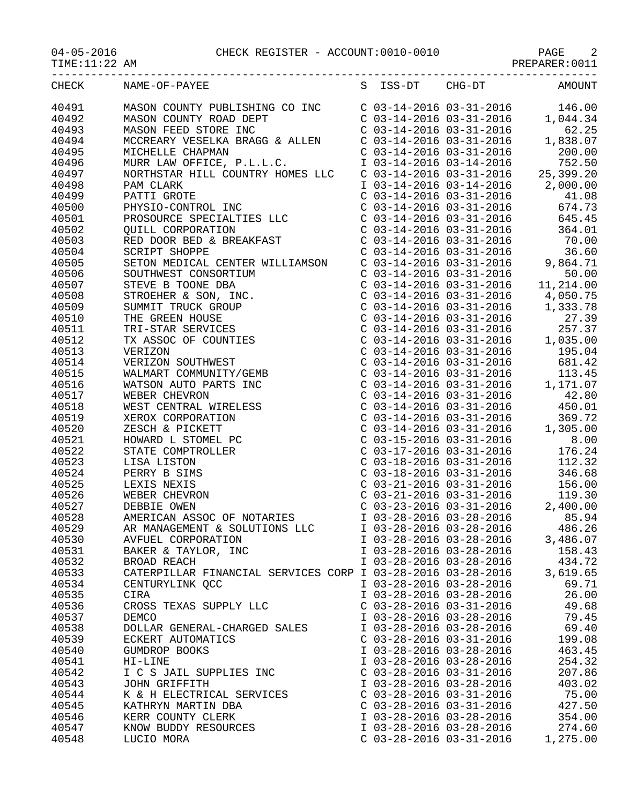04-05-2016 CHECK REGISTER - ACCOUNT:0010-0010 PAGE 2

PAGE 2<br>PREPARER:0011

-----------------------------------------------------------------------------------

| <b>CHECK</b>   | NAME-OF-PAYEE                                                                                                                                                                                                                                      | S | ISS-DT                    | CHG-DT                                                                                                                                                                                                                                                                                                                         | <b>AMOUNT</b>                                                                                                                             |
|----------------|----------------------------------------------------------------------------------------------------------------------------------------------------------------------------------------------------------------------------------------------------|---|---------------------------|--------------------------------------------------------------------------------------------------------------------------------------------------------------------------------------------------------------------------------------------------------------------------------------------------------------------------------|-------------------------------------------------------------------------------------------------------------------------------------------|
| 40491          | MASON COUNTY PUBLISHING CO INC                                                                                                                                                                                                                     |   |                           | $\begin{array}{lll} \text{C} & 03-14-2016 & 03-31-2016 \\ \text{C} & 03-14-2016 & 03-31-2016 & 1 \end{array},$                                                                                                                                                                                                                 | 146.00                                                                                                                                    |
| 40492          | MASON COUNTY ROAD DEPT                                                                                                                                                                                                                             |   |                           |                                                                                                                                                                                                                                                                                                                                | 1,044.34                                                                                                                                  |
| 40493          | MASON FEED STORE INC                                                                                                                                                                                                                               |   |                           | $C$ 03-14-2016 03-31-2016                                                                                                                                                                                                                                                                                                      | 62.25                                                                                                                                     |
| 40494          |                                                                                                                                                                                                                                                    |   |                           | $C$ 03-14-2016 03-31-2016                                                                                                                                                                                                                                                                                                      | 1,838.07                                                                                                                                  |
| 40495          | MCCREARY VESELKA BRAGG & ALLEN<br>MICHELLE CHAPMAN                                                                                                                                                                                                 |   |                           | $C$ 03-14-2016 03-31-2016                                                                                                                                                                                                                                                                                                      | 200.00                                                                                                                                    |
| 40496          | MURR LAW OFFICE, P.L.L.C.                                                                                                                                                                                                                          |   |                           |                                                                                                                                                                                                                                                                                                                                |                                                                                                                                           |
| 40497          | NORTHSTAR HILL COUNTRY HOMES LLC                                                                                                                                                                                                                   |   |                           |                                                                                                                                                                                                                                                                                                                                | I 03-14-2016 03-14-2016 752.50<br>C 03-14-2016 03-31-2016 25,399.20                                                                       |
| 40498          |                                                                                                                                                                                                                                                    |   |                           |                                                                                                                                                                                                                                                                                                                                |                                                                                                                                           |
| 40499          |                                                                                                                                                                                                                                                    |   |                           |                                                                                                                                                                                                                                                                                                                                | $\begin{array}{cccc} \texttt{I} & 03-14-2016 & 03-14-2016 & & 2,000.00 \\ \texttt{C} & 03-14-2016 & 03-31-2016 & & 41.08 \end{array}$     |
| 40500          |                                                                                                                                                                                                                                                    |   |                           | $C$ 03-14-2016 03-31-2016                                                                                                                                                                                                                                                                                                      | 674.73                                                                                                                                    |
| 40501          |                                                                                                                                                                                                                                                    |   |                           | $C$ 03-14-2016 03-31-2016                                                                                                                                                                                                                                                                                                      | 645.45                                                                                                                                    |
| 40502          |                                                                                                                                                                                                                                                    |   |                           | $C$ 03-14-2016 03-31-2016                                                                                                                                                                                                                                                                                                      | 364.01                                                                                                                                    |
| 40503          | PAM CLARK<br>PATTI GROTE<br>PHYSIO-CONTROL INC<br>PROSOURCE SPECIALTIES LLC<br>QUILL CORPORATION<br>RED DOOR BED & BREAKFAST                                                                                                                       |   |                           | $C$ 03-14-2016 03-31-2016                                                                                                                                                                                                                                                                                                      |                                                                                                                                           |
| 40504          | SCRIPT SHOPPE                                                                                                                                                                                                                                      |   |                           | $C$ 03-14-2016 03-31-2016                                                                                                                                                                                                                                                                                                      | 70.00<br>36.60                                                                                                                            |
|                | SETON MEDICAL CENTER WILLIAMSON                                                                                                                                                                                                                    |   |                           | C 03-14-2016 03-31-2016<br>C 03-14-2016 03-31-2016 9                                                                                                                                                                                                                                                                           | 9,864.71                                                                                                                                  |
| 40505          |                                                                                                                                                                                                                                                    |   |                           |                                                                                                                                                                                                                                                                                                                                |                                                                                                                                           |
| 40506          |                                                                                                                                                                                                                                                    |   |                           |                                                                                                                                                                                                                                                                                                                                | $C$ 03-14-2016 03-31-2016 50.00<br>$C$ 03-14-2016 03-31-2016 11,214.00                                                                    |
| 40507          |                                                                                                                                                                                                                                                    |   |                           |                                                                                                                                                                                                                                                                                                                                |                                                                                                                                           |
| 40508          |                                                                                                                                                                                                                                                    |   |                           |                                                                                                                                                                                                                                                                                                                                | C $03-14-2016$ $03-31-2016$ 4,050.75                                                                                                      |
| 40509          |                                                                                                                                                                                                                                                    |   |                           |                                                                                                                                                                                                                                                                                                                                |                                                                                                                                           |
| 40510          |                                                                                                                                                                                                                                                    |   |                           |                                                                                                                                                                                                                                                                                                                                |                                                                                                                                           |
| 40511          |                                                                                                                                                                                                                                                    |   |                           |                                                                                                                                                                                                                                                                                                                                | C 03-14-2016 03-31-2016 1, 333.78<br>C 03-14-2016 03-31-2016 27.39<br>C 03-14-2016 03-31-2016 257.37<br>C 03-14-2016 03-31-2016 1, 035.00 |
| 40512          |                                                                                                                                                                                                                                                    |   |                           |                                                                                                                                                                                                                                                                                                                                |                                                                                                                                           |
| 40513          |                                                                                                                                                                                                                                                    |   |                           | $C$ 03-14-2016 03-31-2016                                                                                                                                                                                                                                                                                                      | 195.04                                                                                                                                    |
| 40514          |                                                                                                                                                                                                                                                    |   |                           |                                                                                                                                                                                                                                                                                                                                |                                                                                                                                           |
| 40515          |                                                                                                                                                                                                                                                    |   |                           |                                                                                                                                                                                                                                                                                                                                | C 03-14-2016 03-31-2016 681.42<br>C 03-14-2016 03-31-2016 113.45<br>C 03-14-2016 03-31-2016 1,171.07<br>C 03-14-2016 03-31-2016 42.80     |
| 40516          |                                                                                                                                                                                                                                                    |   |                           |                                                                                                                                                                                                                                                                                                                                |                                                                                                                                           |
| 40517          |                                                                                                                                                                                                                                                    |   |                           |                                                                                                                                                                                                                                                                                                                                |                                                                                                                                           |
| 40518          | SETON MEDICAL CENTER WILLIAMSON<br>SETON MEDICAL CENTER WILLIAMSON<br>STEVE B TOONE DBA<br>STROEHER & SON, INC.<br>THE GREEN HOUSE<br>THE GREEN HOUSE<br>TRI-STAR SERVICES<br>TRI-STAR SERVICES<br>TRI-STAR SERVICES<br>TRI-STAR SERVICES<br>TRI-S |   |                           | $C$ 03-14-2016 03-31-2016                                                                                                                                                                                                                                                                                                      | 450.01                                                                                                                                    |
| 40519          |                                                                                                                                                                                                                                                    |   |                           | $\begin{array}{llll} \text{C} & 03\text{--}14\text{--}2016 & 03\text{--}31\text{--}2016 \\ \text{C} & 03\text{--}14\text{--}2016 & 03\text{--}31\text{--}2016 & 1 \\ \text{C} & 03\text{--}15\text{--}2016 & 03\text{--}31\text{--}2016 & \\ \text{C} & 03\text{--}17\text{--}2016 & 03\text{--}31\text{--}2016 & \end{array}$ | 369.72                                                                                                                                    |
| 40520          |                                                                                                                                                                                                                                                    |   |                           |                                                                                                                                                                                                                                                                                                                                | 1,305.00                                                                                                                                  |
| 40521          |                                                                                                                                                                                                                                                    |   |                           |                                                                                                                                                                                                                                                                                                                                | 8.00                                                                                                                                      |
| 40522          |                                                                                                                                                                                                                                                    |   |                           |                                                                                                                                                                                                                                                                                                                                | 176.24                                                                                                                                    |
| 40523          |                                                                                                                                                                                                                                                    |   |                           | $C$ 03-18-2016 03-31-2016                                                                                                                                                                                                                                                                                                      | 112.32                                                                                                                                    |
| 40524          |                                                                                                                                                                                                                                                    |   |                           | $C$ 03-18-2016 03-31-2016                                                                                                                                                                                                                                                                                                      | 346.68                                                                                                                                    |
| 40525          |                                                                                                                                                                                                                                                    |   |                           | C 03-21-2016 03-31-2016<br>C 03-21-2016 03-31-2016<br>C 03-23-2016 03-31-2016 2                                                                                                                                                                                                                                                | 156.00                                                                                                                                    |
| 40526          |                                                                                                                                                                                                                                                    |   |                           |                                                                                                                                                                                                                                                                                                                                | 119.30                                                                                                                                    |
| 40527          |                                                                                                                                                                                                                                                    |   |                           |                                                                                                                                                                                                                                                                                                                                | 2,400.00                                                                                                                                  |
| 40528          | AMERICAN ASSOC OF NOTARIES                                                                                                                                                                                                                         |   |                           | $I$ 03-28-2016 03-28-2016                                                                                                                                                                                                                                                                                                      | 85.94                                                                                                                                     |
| 40529          | AR MANAGEMENT & SOLUTIONS LLC                                                                                                                                                                                                                      |   |                           | I 03-28-2016 03-28-2016                                                                                                                                                                                                                                                                                                        | 486.26                                                                                                                                    |
| 40530          | AVFUEL CORPORATION                                                                                                                                                                                                                                 |   | I 03-28-2016 03-28-2016   |                                                                                                                                                                                                                                                                                                                                | 3,486.07                                                                                                                                  |
| 40531          | BAKER & TAYLOR, INC                                                                                                                                                                                                                                |   | I 03-28-2016 03-28-2016   |                                                                                                                                                                                                                                                                                                                                | 158.43                                                                                                                                    |
| 40532          | BROAD REACH                                                                                                                                                                                                                                        |   | I 03-28-2016 03-28-2016   |                                                                                                                                                                                                                                                                                                                                | 434.72                                                                                                                                    |
| 40533          | CATERPILLAR FINANCIAL SERVICES CORP I 03-28-2016 03-28-2016                                                                                                                                                                                        |   |                           |                                                                                                                                                                                                                                                                                                                                | 3,619.65                                                                                                                                  |
| 40534          | CENTURYLINK QCC                                                                                                                                                                                                                                    |   | I 03-28-2016 03-28-2016   |                                                                                                                                                                                                                                                                                                                                | 69.71                                                                                                                                     |
| 40535          | CIRA                                                                                                                                                                                                                                               |   | I 03-28-2016 03-28-2016   |                                                                                                                                                                                                                                                                                                                                | 26.00                                                                                                                                     |
| 40536          | CROSS TEXAS SUPPLY LLC                                                                                                                                                                                                                             |   | $C$ 03-28-2016 03-31-2016 |                                                                                                                                                                                                                                                                                                                                | 49.68                                                                                                                                     |
| 40537          | <b>DEMCO</b>                                                                                                                                                                                                                                       |   | I 03-28-2016 03-28-2016   |                                                                                                                                                                                                                                                                                                                                | 79.45                                                                                                                                     |
| 40538          | DOLLAR GENERAL-CHARGED SALES                                                                                                                                                                                                                       |   | I 03-28-2016 03-28-2016   |                                                                                                                                                                                                                                                                                                                                | 69.40                                                                                                                                     |
| 40539          | ECKERT AUTOMATICS                                                                                                                                                                                                                                  |   | $C$ 03-28-2016 03-31-2016 |                                                                                                                                                                                                                                                                                                                                | 199.08                                                                                                                                    |
|                |                                                                                                                                                                                                                                                    |   | I 03-28-2016 03-28-2016   |                                                                                                                                                                                                                                                                                                                                |                                                                                                                                           |
| 40540<br>40541 | GUMDROP BOOKS<br>$HI-LINE$                                                                                                                                                                                                                         |   | I 03-28-2016 03-28-2016   |                                                                                                                                                                                                                                                                                                                                | 463.45<br>254.32                                                                                                                          |
|                |                                                                                                                                                                                                                                                    |   |                           |                                                                                                                                                                                                                                                                                                                                |                                                                                                                                           |
| 40542          | I C S JAIL SUPPLIES INC                                                                                                                                                                                                                            |   | $C$ 03-28-2016 03-31-2016 |                                                                                                                                                                                                                                                                                                                                | 207.86                                                                                                                                    |
| 40543          | JOHN GRIFFITH                                                                                                                                                                                                                                      |   | I 03-28-2016 03-28-2016   |                                                                                                                                                                                                                                                                                                                                | 403.02                                                                                                                                    |
| 40544          | K & H ELECTRICAL SERVICES                                                                                                                                                                                                                          |   | $C$ 03-28-2016 03-31-2016 |                                                                                                                                                                                                                                                                                                                                | 75.00                                                                                                                                     |
| 40545          | KATHRYN MARTIN DBA                                                                                                                                                                                                                                 |   | $C$ 03-28-2016 03-31-2016 |                                                                                                                                                                                                                                                                                                                                | 427.50                                                                                                                                    |
| 40546          | KERR COUNTY CLERK                                                                                                                                                                                                                                  |   | I 03-28-2016 03-28-2016   |                                                                                                                                                                                                                                                                                                                                | 354.00                                                                                                                                    |
| 40547          | KNOW BUDDY RESOURCES                                                                                                                                                                                                                               |   | I 03-28-2016 03-28-2016   |                                                                                                                                                                                                                                                                                                                                | 274.60                                                                                                                                    |
| 40548          | LUCIO MORA                                                                                                                                                                                                                                         |   | $C$ 03-28-2016 03-31-2016 |                                                                                                                                                                                                                                                                                                                                | 1,275.00                                                                                                                                  |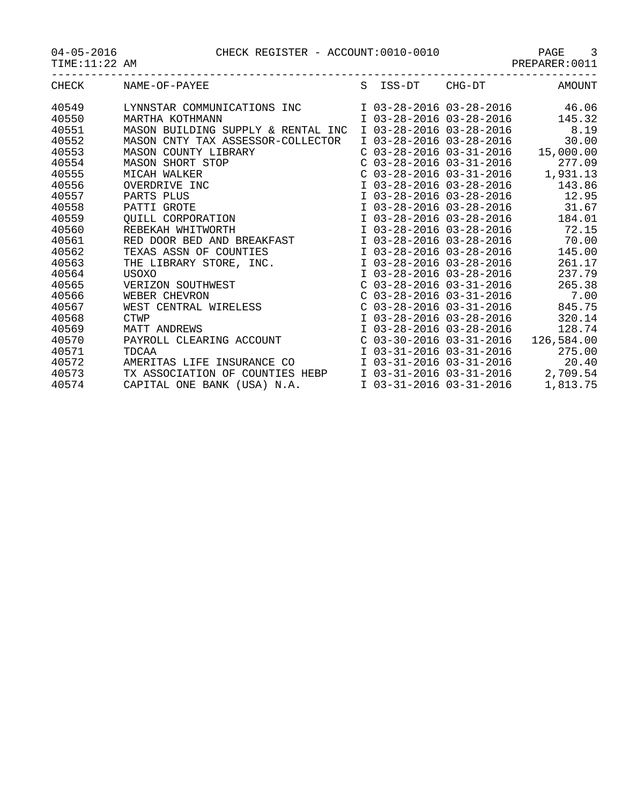04-05-2016 CHECK REGISTER - ACCOUNT:0010-0010 PAGE 3

| 04-05-2016 |  |
|------------|--|
|------------|--|

TIME:11:22 AM PREPARER:0011

| CHECK | NAME-OF-PAYEE                                                                                                                                    |                         | S ISS-DT CHG-DT           | AMOUNT                              |
|-------|--------------------------------------------------------------------------------------------------------------------------------------------------|-------------------------|---------------------------|-------------------------------------|
| 40549 | LYNNSTAR COMMUNICATIONS INC                                                                                                                      |                         |                           | I 03-28-2016 03-28-2016 46.06       |
| 40550 | MARTHA KOTHMANN                                                                                                                                  |                         |                           | I 03-28-2016 03-28-2016 145.32      |
| 40551 | MASON BUILDING SUPPLY & RENTAL INC                                                                                                               |                         | I 03-28-2016 03-28-2016   | 8.19                                |
| 40552 | MASON CNTY TAX ASSESSOR-COLLECTOR                                                                                                                |                         | I 03-28-2016 03-28-2016   | 30.00                               |
| 40553 |                                                                                                                                                  |                         |                           | $C$ 03-28-2016 03-31-2016 15,000.00 |
| 40554 |                                                                                                                                                  |                         | $C$ 03-28-2016 03-31-2016 | 277.09                              |
| 40555 | MASON COUNTY LIBRARY<br>MASON SHORT STOP<br>MICAH WALKER<br>OVERDRIVE INC<br>PARTS PLUS<br>PATTI GROTE<br>QUILL CORPORATION<br>REBEKAH WHITWORTH |                         | $C$ 03-28-2016 03-31-2016 | 1,931.13                            |
| 40556 |                                                                                                                                                  |                         | I 03-28-2016 03-28-2016   | 143.86                              |
| 40557 |                                                                                                                                                  |                         | I 03-28-2016 03-28-2016   | 12.95                               |
| 40558 |                                                                                                                                                  |                         | I 03-28-2016 03-28-2016   | 31.67                               |
| 40559 |                                                                                                                                                  |                         | I 03-28-2016 03-28-2016   | 184.01                              |
| 40560 |                                                                                                                                                  |                         | I 03-28-2016 03-28-2016   | 72.15                               |
| 40561 | RED DOOR BED AND BREAKFAST                                                                                                                       |                         | I 03-28-2016 03-28-2016   | 70.00                               |
| 40562 | TEXAS ASSN OF COUNTIES                                                                                                                           |                         | I 03-28-2016 03-28-2016   | 145.00                              |
| 40563 | THE LIBRARY STORE, INC.                                                                                                                          |                         | I 03-28-2016 03-28-2016   | 261.17                              |
| 40564 |                                                                                                                                                  |                         | I 03-28-2016 03-28-2016   | 237.79                              |
| 40565 | USOXO<br>VERIZON SOUTHWEST<br>WEBER CHEVRON                                                                                                      |                         | $C$ 03-28-2016 03-31-2016 | 265.38                              |
| 40566 |                                                                                                                                                  |                         | $C$ 03-28-2016 03-31-2016 | 7.00                                |
| 40567 | WEST CENTRAL WIRELESS<br>CTWP<br>MATT ANDREWS                                                                                                    |                         | C 03-28-2016 03-31-2016   | 845.75                              |
| 40568 |                                                                                                                                                  |                         | I 03-28-2016 03-28-2016   | 320.14                              |
| 40569 |                                                                                                                                                  |                         | I 03-28-2016 03-28-2016   | 128.74                              |
| 40570 | PAYROLL CLEARING ACCOUNT                                                                                                                         |                         | $C$ 03-30-2016 03-31-2016 | 126,584.00                          |
| 40571 | TDCAA                                                                                                                                            |                         | I 03-31-2016 03-31-2016   | 275.00                              |
| 40572 | AMERITAS LIFE INSURANCE CO                                                                                                                       |                         | I 03-31-2016 03-31-2016   | 20.40                               |
| 40573 | TX ASSOCIATION OF COUNTIES HEBP                                                                                                                  |                         | I 03-31-2016 03-31-2016   | 2,709.54                            |
| 40574 | CAPITAL ONE BANK (USA) N.A.                                                                                                                      | I 03-31-2016 03-31-2016 |                           | 1,813.75                            |
|       |                                                                                                                                                  |                         |                           |                                     |